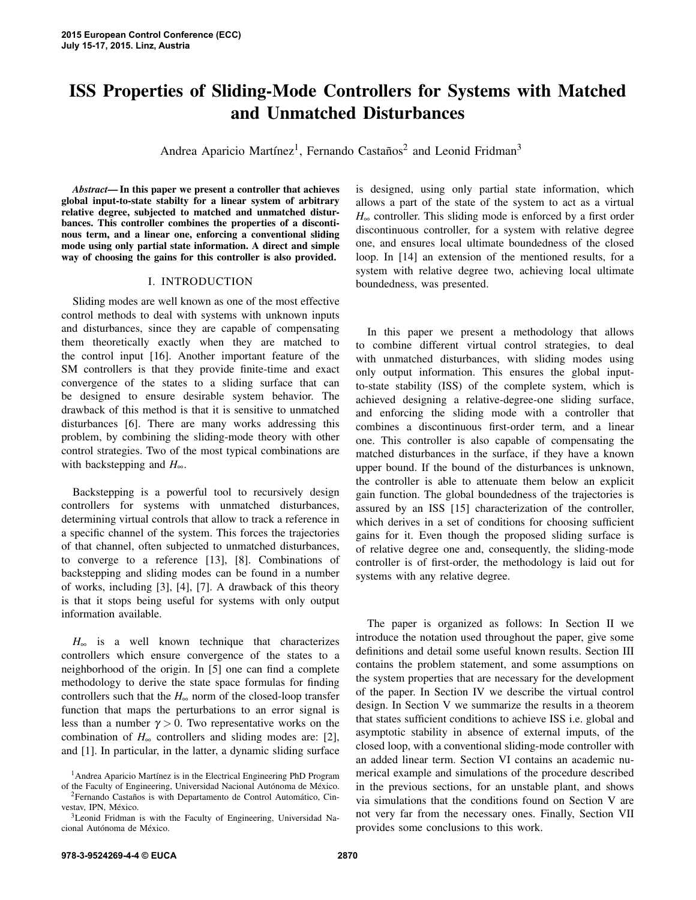# ISS Properties of Sliding-Mode Controllers for Systems with Matched and Unmatched Disturbances

Andrea Aparicio Martínez<sup>1</sup>, Fernando Castaños<sup>2</sup> and Leonid Fridman<sup>3</sup>

*Abstract*— In this paper we present a controller that achieves global input-to-state stabilty for a linear system of arbitrary relative degree, subjected to matched and unmatched disturbances. This controller combines the properties of a discontinous term, and a linear one, enforcing a conventional sliding mode using only partial state information. A direct and simple way of choosing the gains for this controller is also provided.

#### I. INTRODUCTION

Sliding modes are well known as one of the most effective control methods to deal with systems with unknown inputs and disturbances, since they are capable of compensating them theoretically exactly when they are matched to the control input [16]. Another important feature of the SM controllers is that they provide finite-time and exact convergence of the states to a sliding surface that can be designed to ensure desirable system behavior. The drawback of this method is that it is sensitive to unmatched disturbances [6]. There are many works addressing this problem, by combining the sliding-mode theory with other control strategies. Two of the most typical combinations are with backstepping and *H*∞.

Backstepping is a powerful tool to recursively design controllers for systems with unmatched disturbances, determining virtual controls that allow to track a reference in a specific channel of the system. This forces the trajectories of that channel, often subjected to unmatched disturbances, to converge to a reference [13], [8]. Combinations of backstepping and sliding modes can be found in a number of works, including [3], [4], [7]. A drawback of this theory is that it stops being useful for systems with only output information available.

*H*∞ is a well known technique that characterizes controllers which ensure convergence of the states to a neighborhood of the origin. In [5] one can find a complete methodology to derive the state space formulas for finding controllers such that the  $H_∞$  norm of the closed-loop transfer function that maps the perturbations to an error signal is less than a number  $\gamma > 0$ . Two representative works on the combination of  $H_∞$  controllers and sliding modes are: [2], and [1]. In particular, in the latter, a dynamic sliding surface

 $2$ Fernando Castaños is with Departamento de Control Automático, Cinvestav, IPN, México.

is designed, using only partial state information, which allows a part of the state of the system to act as a virtual *H*∞ controller. This sliding mode is enforced by a first order discontinuous controller, for a system with relative degree one, and ensures local ultimate boundedness of the closed loop. In [14] an extension of the mentioned results, for a system with relative degree two, achieving local ultimate boundedness, was presented.

In this paper we present a methodology that allows to combine different virtual control strategies, to deal with unmatched disturbances, with sliding modes using only output information. This ensures the global inputto-state stability (ISS) of the complete system, which is achieved designing a relative-degree-one sliding surface, and enforcing the sliding mode with a controller that combines a discontinuous first-order term, and a linear one. This controller is also capable of compensating the matched disturbances in the surface, if they have a known upper bound. If the bound of the disturbances is unknown, the controller is able to attenuate them below an explicit gain function. The global boundedness of the trajectories is assured by an ISS [15] characterization of the controller, which derives in a set of conditions for choosing sufficient gains for it. Even though the proposed sliding surface is of relative degree one and, consequently, the sliding-mode controller is of first-order, the methodology is laid out for systems with any relative degree.

The paper is organized as follows: In Section II we introduce the notation used throughout the paper, give some definitions and detail some useful known results. Section III contains the problem statement, and some assumptions on the system properties that are necessary for the development of the paper. In Section IV we describe the virtual control design. In Section V we summarize the results in a theorem that states sufficient conditions to achieve ISS i.e. global and asymptotic stability in absence of external imputs, of the closed loop, with a conventional sliding-mode controller with an added linear term. Section VI contains an academic numerical example and simulations of the procedure described in the previous sections, for an unstable plant, and shows via simulations that the conditions found on Section V are not very far from the necessary ones. Finally, Section VII provides some conclusions to this work.

<sup>&</sup>lt;sup>1</sup> Andrea Aparicio Martínez is in the Electrical Engineering PhD Program of the Faculty of Engineering, Universidad Nacional Autónoma de México.

<sup>&</sup>lt;sup>3</sup>Leonid Fridman is with the Faculty of Engineering, Universidad Nacional Autónoma de México.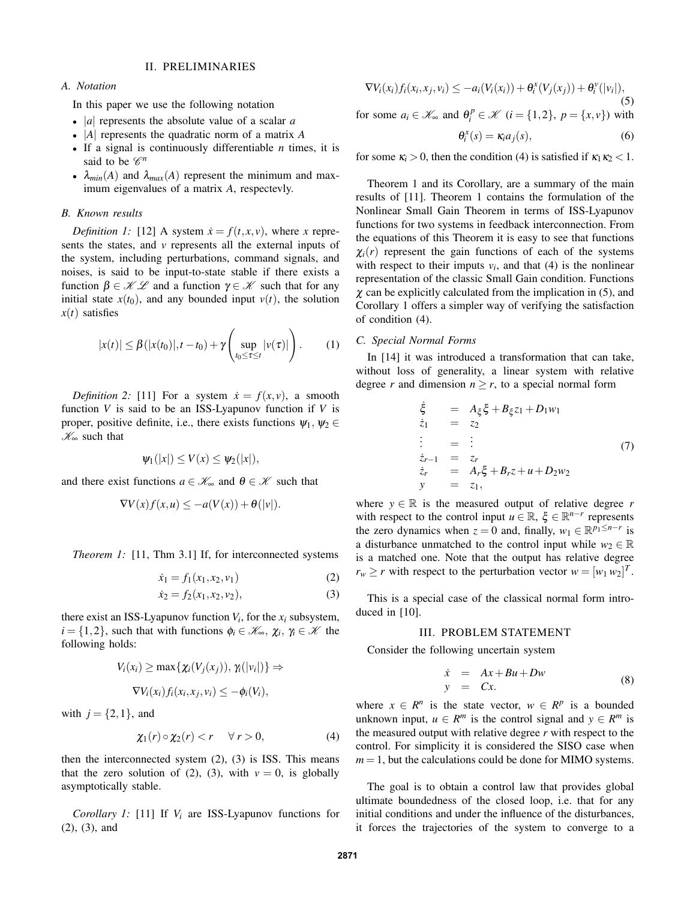# II. PRELIMINARIES

# *A. Notation*

In this paper we use the following notation

- |*a*| represents the absolute value of a scalar *a*
- |*A*| represents the quadratic norm of a matrix *A*
- If a signal is continuously differentiable *n* times, it is said to be  $\mathscr{C}^n$
- $\lambda_{min}(A)$  and  $\lambda_{max}(A)$  represent the minimum and maximum eigenvalues of a matrix *A*, respectevly.

# *B. Known results*

*Definition 1:* [12] A system  $\dot{x} = f(t, x, v)$ , where *x* represents the states, and *v* represents all the external inputs of the system, including perturbations, command signals, and noises, is said to be input-to-state stable if there exists a function  $\beta \in \mathcal{KL}$  and a function  $\gamma \in \mathcal{K}$  such that for any initial state  $x(t_0)$ , and any bounded input  $v(t)$ , the solution  $x(t)$  satisfies

$$
|x(t)| \leq \beta(|x(t_0)|, t-t_0) + \gamma\left(\sup_{t_0 \leq \tau \leq t} |v(\tau)|\right). \tag{1}
$$

*Definition 2:* [11] For a system  $\dot{x} = f(x, y)$ , a smooth function  $V$  is said to be an ISS-Lyapunov function if  $V$  is proper, positive definite, i.e., there exists functions  $\psi_1, \psi_2 \in$  $\mathscr{K}_{\infty}$  such that

$$
\psi_1(|x|) \leq V(x) \leq \psi_2(|x|),
$$

and there exist functions  $a \in \mathcal{K}_{\infty}$  and  $\theta \in \mathcal{K}$  such that

$$
\nabla V(x)f(x,u) \leq -a(V(x)) + \theta(|v|).
$$

*Theorem 1:* [11, Thm 3.1] If, for interconnected systems

$$
\dot{x}_1 = f_1(x_1, x_2, v_1) \tag{2}
$$

$$
\dot{x}_2 = f_2(x_1, x_2, v_2),\tag{3}
$$

there exist an ISS-Lyapunov function  $V_i$ , for the  $x_i$  subsystem,  $i = \{1, 2\}$ , such that with functions  $\phi_i \in \mathcal{K}_{\infty}$ ,  $\chi_i$ ,  $\gamma_i \in \mathcal{K}$  the following holds:

$$
V_i(x_i) \ge \max\{\chi_i(V_j(x_j)), \gamma_i(|v_i|)\} \Rightarrow
$$
  
\n
$$
\nabla V_i(x_i) f_i(x_i, x_j, v_i) \le -\phi_i(V_i),
$$

with  $j = \{2, 1\}$ , and

$$
\chi_1(r) \circ \chi_2(r) < r \quad \forall \ r > 0,\tag{4}
$$

then the interconnected system (2), (3) is ISS. This means that the zero solution of (2), (3), with  $v = 0$ , is globally asymptotically stable.

*Corollary 1:* [11] If *V<sup>i</sup>* are ISS-Lyapunov functions for (2), (3), and

$$
\nabla V_i(x_i) f_i(x_i, x_j, v_i) \leq -a_i(V_i(x_i)) + \theta_i^x(V_j(x_j)) + \theta_i^y(|v_i|),
$$
\n(5)

for some  $a_i \in \mathcal{K}_{\infty}$  and  $\theta_i^p \in \mathcal{K}$   $(i = \{1, 2\}, p = \{x, v\})$  with

$$
\theta_i^x(s) = \kappa_i a_j(s),\tag{6}
$$

for some  $\kappa_i > 0$ , then the condition (4) is satisfied if  $\kappa_1 \kappa_2 < 1$ .

Theorem 1 and its Corollary, are a summary of the main results of [11]. Theorem 1 contains the formulation of the Nonlinear Small Gain Theorem in terms of ISS-Lyapunov functions for two systems in feedback interconnection. From the equations of this Theorem it is easy to see that functions  $\chi_i(r)$  represent the gain functions of each of the systems with respect to their imputs  $v_i$ , and that (4) is the nonlinear representation of the classic Small Gain condition. Functions  $\chi$  can be explicitly calculated from the implication in (5), and Corollary 1 offers a simpler way of verifying the satisfaction of condition (4).

#### *C. Special Normal Forms*

In [14] it was introduced a transformation that can take, without loss of generality, a linear system with relative degree *r* and dimension  $n \ge r$ , to a special normal form

$$
\dot{\xi} = A_{\xi}\xi + B_{\xi}z_1 + D_1w_1 \n\dot{z}_1 = z_2 \n\vdots = \vdots \n\dot{z}_{r-1} = z_r \n\dot{z}_r = A_r\xi + B_rz + u + D_2w_2 \ny = z_1,
$$
\n(7)

where  $y \in \mathbb{R}$  is the measured output of relative degree *r* with respect to the control input  $u \in \mathbb{R}$ ,  $\xi \in \mathbb{R}^{n-r}$  represents the zero dynamics when  $z = 0$  and, finally,  $w_1 \in \mathbb{R}^{p_1 \leq n-r}$  is a disturbance unmatched to the control input while  $w_2 \in \mathbb{R}$ is a matched one. Note that the output has relative degree  $r_w \ge r$  with respect to the perturbation vector  $w = [w_1 w_2]^T$ .

This is a special case of the classical normal form introduced in [10].

#### III. PROBLEM STATEMENT

Consider the following uncertain system

$$
\dot{x} = Ax + Bu + Dw
$$
  
\n
$$
y = Cx.
$$
\n(8)

where  $x \in R^n$  is the state vector,  $w \in R^p$  is a bounded unknown input,  $u \in R^m$  is the control signal and  $y \in R^m$  is the measured output with relative degree *r* with respect to the control. For simplicity it is considered the SISO case when  $m = 1$ , but the calculations could be done for MIMO systems.

The goal is to obtain a control law that provides global ultimate boundedness of the closed loop, i.e. that for any initial conditions and under the influence of the disturbances, it forces the trajectories of the system to converge to a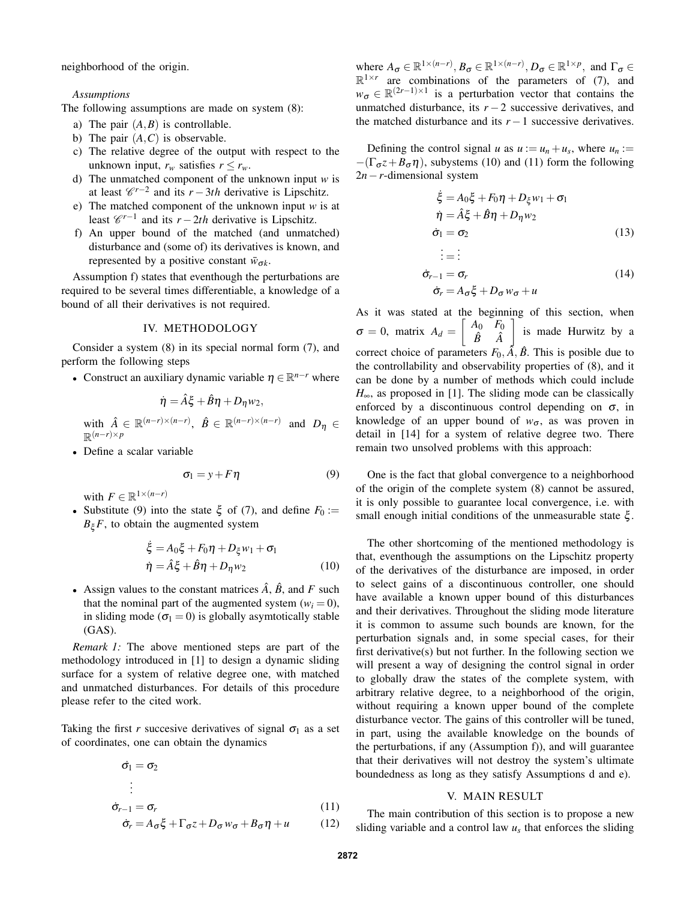neighborhood of the origin.

# *Assumptions*

The following assumptions are made on system (8):

- a) The pair  $(A, B)$  is controllable.
- b) The pair  $(A, C)$  is observable.
- c) The relative degree of the output with respect to the unknown input,  $r_w$  satisfies  $r \leq r_w$ .
- d) The unmatched component of the unknown input *w* is at least  $\mathcal{C}^{r-2}$  and its  $r-3th$  derivative is Lipschitz.
- e) The matched component of the unknown input *w* is at least  $\mathcal{C}^{r-1}$  and its  $r-2th$  derivative is Lipschitz.
- f) An upper bound of the matched (and unmatched) disturbance and (some of) its derivatives is known, and represented by a positive constant  $\bar{w}_{\sigma k}$ .

Assumption f) states that eventhough the perturbations are required to be several times differentiable, a knowledge of a bound of all their derivatives is not required.

### IV. METHODOLOGY

Consider a system (8) in its special normal form (7), and perform the following steps

• Construct an auxiliary dynamic variable  $\eta \in \mathbb{R}^{n-r}$  where

$$
\dot{\eta} = \hat{A}\xi + \hat{B}\eta + D_{\eta}w_2,
$$

with  $\hat{A} \in \mathbb{R}^{(n-r)\times(n-r)}$ ,  $\hat{B} \in \mathbb{R}^{(n-r)\times(n-r)}$  and  $D_{\eta} \in$ R (*n*−*r*)×*p*

• Define a scalar variable

$$
\sigma_1 = y + F\eta \tag{9}
$$

with  $F \in \mathbb{R}^{1 \times (n-r)}$ 

• Substitute (9) into the state  $\xi$  of (7), and define  $F_0 :=$  $B_{\xi}F$ , to obtain the augmented system

$$
\dot{\xi} = A_0 \xi + F_0 \eta + D_{\xi} w_1 + \sigma_1
$$
  
\n
$$
\dot{\eta} = \hat{A} \xi + \hat{B} \eta + D_{\eta} w_2
$$
 (10)

• Assign values to the constant matrices  $\hat{A}$ ,  $\hat{B}$ , and  $F$  such that the nominal part of the augmented system  $(w_i = 0)$ , in sliding mode ( $\sigma_1 = 0$ ) is globally asymtotically stable (GAS).

*Remark 1:* The above mentioned steps are part of the methodology introduced in [1] to design a dynamic sliding surface for a system of relative degree one, with matched and unmatched disturbances. For details of this procedure please refer to the cited work.

Taking the first *r* succesive derivatives of signal  $\sigma_1$  as a set of coordinates, one can obtain the dynamics

$$
\dot{\sigma}_1 = \sigma_2
$$
\n
$$
\vdots
$$
\n
$$
\dot{\sigma}_{r-1} = \sigma_r
$$
\n(11)

$$
\dot{\sigma}_r = A_\sigma \xi + \Gamma_\sigma z + D_\sigma w_\sigma + B_\sigma \eta + u \tag{12}
$$

where  $A_{\sigma} \in \mathbb{R}^{1 \times (n-r)}$ ,  $B_{\sigma} \in \mathbb{R}^{1 \times (n-r)}$ ,  $D_{\sigma} \in \mathbb{R}^{1 \times p}$ , and  $\Gamma_{\sigma} \in$  $\mathbb{R}^{1 \times r}$  are combinations of the parameters of (7), and  $w_{\sigma} \in \mathbb{R}^{(2r-1)\times 1}$  is a perturbation vector that contains the unmatched disturbance, its  $r - 2$  successive derivatives, and the matched disturbance and its *r*−1 successive derivatives.

Defining the control signal *u* as  $u := u_n + u_s$ , where  $u_n :=$  $-(\Gamma_{\sigma}z+B_{\sigma}\eta)$ , subystems (10) and (11) form the following 2*n*−*r*-dimensional system

$$
\dot{\xi} = A_0 \xi + F_0 \eta + D_{\xi} w_1 + \sigma_1 \n\dot{\eta} = \hat{A} \xi + \hat{B} \eta + D_{\eta} w_2 \n\dot{\sigma}_1 = \sigma_2
$$
\n(13)

$$
\begin{aligned}\n&\vdots = \vdots \\
\dot{\sigma}_{r-1} &= \sigma_r \\
\dot{\sigma}_r &= A_\sigma \xi + D_\sigma w_\sigma + u\n\end{aligned} \tag{14}
$$

As it was stated at the beginning of this section, when  $\sigma = 0$ , matrix  $A_d = \begin{bmatrix} A_0 & F_0 \\ \hat{B} & \hat{A} \end{bmatrix}$ *B*ˆ *A*ˆ is made Hurwitz by a correct choice of parameters  $F_0$ ,  $\hat{A}$ ,  $\hat{B}$ . This is posible due to the controllability and observability properties of (8), and it can be done by a number of methods which could include *H*∞, as proposed in [1]. The sliding mode can be classically enforced by a discontinuous control depending on  $\sigma$ , in knowledge of an upper bound of  $w_{\sigma}$ , as was proven in detail in [14] for a system of relative degree two. There remain two unsolved problems with this approach:

One is the fact that global convergence to a neighborhood of the origin of the complete system (8) cannot be assured, it is only possible to guarantee local convergence, i.e. with small enough initial conditions of the unmeasurable state  $\xi$ .

The other shortcoming of the mentioned methodology is that, eventhough the assumptions on the Lipschitz property of the derivatives of the disturbance are imposed, in order to select gains of a discontinuous controller, one should have available a known upper bound of this disturbances and their derivatives. Throughout the sliding mode literature it is common to assume such bounds are known, for the perturbation signals and, in some special cases, for their first derivative(s) but not further. In the following section we will present a way of designing the control signal in order to globally draw the states of the complete system, with arbitrary relative degree, to a neighborhood of the origin, without requiring a known upper bound of the complete disturbance vector. The gains of this controller will be tuned, in part, using the available knowledge on the bounds of the perturbations, if any (Assumption f)), and will guarantee that their derivatives will not destroy the system's ultimate boundedness as long as they satisfy Assumptions d and e).

#### V. MAIN RESULT

The main contribution of this section is to propose a new sliding variable and a control law  $u_s$  that enforces the sliding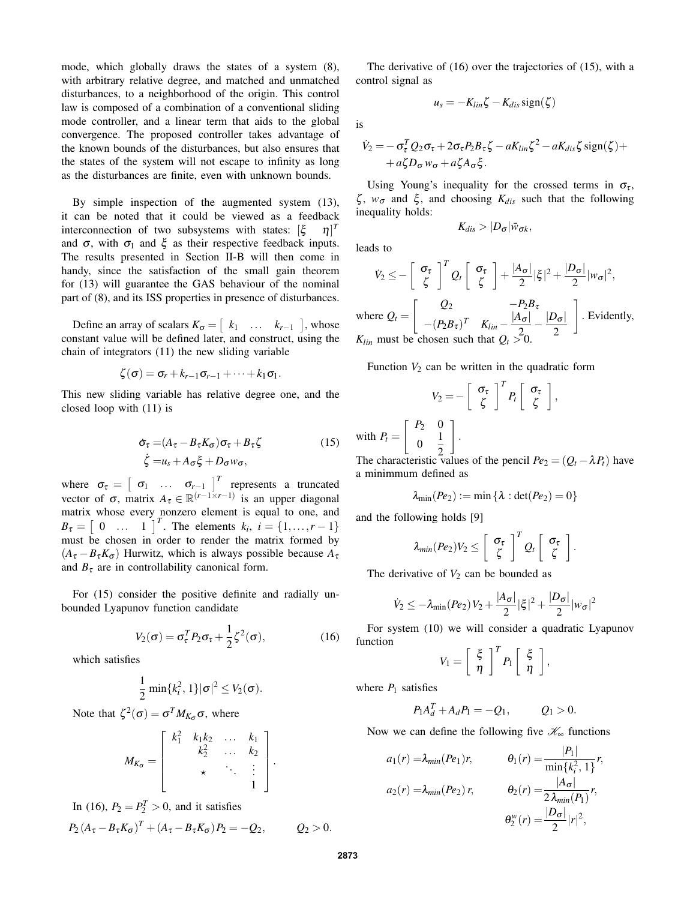mode, which globally draws the states of a system (8), with arbitrary relative degree, and matched and unmatched disturbances, to a neighborhood of the origin. This control law is composed of a combination of a conventional sliding mode controller, and a linear term that aids to the global convergence. The proposed controller takes advantage of the known bounds of the disturbances, but also ensures that the states of the system will not escape to infinity as long as the disturbances are finite, even with unknown bounds.

By simple inspection of the augmented system (13), it can be noted that it could be viewed as a feedback interconnection of two subsystems with states:  $[\xi]$  $\eta$ <sup>[T</sup> and  $\sigma$ , with  $\sigma_1$  and  $\xi$  as their respective feedback inputs. The results presented in Section II-B will then come in handy, since the satisfaction of the small gain theorem for (13) will guarantee the GAS behaviour of the nominal part of (8), and its ISS properties in presence of disturbances.

Define an array of scalars  $K_{\sigma} = \begin{bmatrix} k_1 & \dots & k_{r-1} \end{bmatrix}$ , whose constant value will be defined later, and construct, using the chain of integrators (11) the new sliding variable

$$
\zeta(\sigma)=\sigma_r+k_{r-1}\sigma_{r-1}+\cdots+k_1\sigma_1.
$$

This new sliding variable has relative degree one, and the closed loop with (11) is

$$
\dot{\sigma}_{\tau} = (A_{\tau} - B_{\tau} K_{\sigma}) \sigma_{\tau} + B_{\tau} \zeta
$$
\n
$$
\dot{\zeta} = u_s + A_{\sigma} \xi + D_{\sigma} w_{\sigma},
$$
\n(15)

where  $\sigma_{\tau} = \begin{bmatrix} \sigma_1 & \dots & \sigma_{r-1} \end{bmatrix}^T$  represents a truncated vector of  $\sigma$ , matrix  $A_{\tau} \in \mathbb{R}^{(r-1 \times r-1)}$  is an upper diagonal matrix whose every nonzero element is equal to one, and  $B_{\tau} = \begin{bmatrix} 0 & \dots & 1 \end{bmatrix}^{T}$ . The elements  $k_i$ ,  $i = \{1, \dots, r-1\}$ must be chosen in order to render the matrix formed by  $(A_{\tau} - B_{\tau} K_{\sigma})$  Hurwitz, which is always possible because  $A_{\tau}$ and  $B_{\tau}$  are in controllability canonical form.

For (15) consider the positive definite and radially unbounded Lyapunov function candidate

$$
V_2(\sigma) = \sigma_\tau^T P_2 \sigma_\tau + \frac{1}{2} \zeta^2(\sigma), \qquad (16)
$$

which satisfies

$$
\frac{1}{2}\min\{k_i^2, 1\}|\sigma|^2 \leq V_2(\sigma).
$$

Note that  $\zeta^2(\sigma) = \sigma^T M_{K_{\sigma}} \sigma$ , where

$$
M_{K_{\sigma}} = \left[ \begin{array}{cccc} k_1^2 & k_1k_2 & \dots & k_1 \\ & k_2^2 & \dots & k_2 \\ & \star & \ddots & \vdots \\ & & 1 \end{array} \right].
$$

In (16), 
$$
P_2 = P_2^T > 0
$$
, and it satisfies  
\n $P_2 (A_{\tau} - B_{\tau} K_{\sigma})^T + (A_{\tau} - B_{\tau} K_{\sigma}) P_2 = -Q_2$ ,  $Q_2 > 0$ .

The derivative of (16) over the trajectories of (15), with a control signal as

$$
u_s = -K_{lin}\zeta - K_{dis}\operatorname{sign}(\zeta)
$$

is

$$
\dot{V}_2 = -\sigma_\tau^T Q_2 \sigma_\tau + 2\sigma_\tau P_2 B_\tau \zeta - aK_{lin} \zeta^2 - aK_{dis} \zeta \operatorname{sign}(\zeta) ++ a\zeta D_\sigma w_\sigma + a\zeta A_\sigma \xi.
$$

Using Young's inequality for the crossed terms in  $\sigma_{\tau}$ , ζ , *w*<sup>σ</sup> and ξ , and choosing *Kdis* such that the following inequality holds:

$$
K_{dis} > |D_{\sigma}|\bar{w}_{\sigma k},
$$

leads to

$$
\dot{V}_2 \leq -\left[\begin{array}{c} \sigma_{\tau} \\ \zeta \end{array}\right]^T Q_t \left[\begin{array}{c} \sigma_{\tau} \\ \zeta \end{array}\right] + \frac{|A_{\sigma}|}{2} |\xi|^2 + \frac{|D_{\sigma}|}{2} |w_{\sigma}|^2,
$$
\nwhere  $Q_t = \left[\begin{array}{cc} Q_2 & -P_2 B_{\tau} \\ -(P_2 B_{\tau})^T & K_{lin} - \frac{|A_{\sigma}|}{2} - \frac{|D_{\sigma}|}{2} \end{array}\right]$ . Evidently,  
\n $K_{lin}$  must be chosen such that  $Q_t > 0$ .

Function  $V_2$  can be written in the quadratic form

$$
V_2 = -\left[\begin{array}{c} \sigma_{\tau} \\ \zeta \end{array}\right]^T P_t \left[\begin{array}{c} \sigma_{\tau} \\ \zeta \end{array}\right],
$$
  
0

with  $P_t =$  $P_2$  0  $0 \frac{1}{2}$ 2

The characteristic values of the pencil  $Pe_2 = (Q_t - \lambda P_t)$  have a minimmum defined as

$$
\lambda_{\min}(Pe_2) := \min \{ \lambda : \det(Pe_2) = 0 \}
$$

and the following holds [9]

$$
\lambda_{min}(Pe_2)V_2 \leq \left[\begin{array}{c} \sigma_{\tau} \\ \zeta \end{array}\right]^T Q_t \left[\begin{array}{c} \sigma_{\tau} \\ \zeta \end{array}\right].
$$

The derivative of  $V_2$  can be bounded as

.

$$
\dot{V}_2 \leq -\lambda_{\min}(Pe_2) V_2 + \frac{|A_{\sigma}|}{2} |\xi|^2 + \frac{|D_{\sigma}|}{2} |w_{\sigma}|^2
$$

For system (10) we will consider a quadratic Lyapunov function

$$
V_1=\left[\begin{array}{c}\xi\\ \eta\end{array}\right]^T P_1\left[\begin{array}{c}\xi\\ \eta\end{array}\right],
$$

where  $P_1$  satisfies

$$
P_1 A_d^T + A_d P_1 = -Q_1, \qquad Q_1 > 0.
$$

Now we can define the following five  $\mathcal{K}_{\infty}$  functions

$$
a_1(r) = \lambda_{min}(Pe_1)r,
$$
  
\n
$$
\theta_1(r) = \frac{|P_1|}{\min\{k_i^2, 1\}}r,
$$
  
\n
$$
a_2(r) = \lambda_{min}(Pe_2)r,
$$
  
\n
$$
\theta_2(r) = \frac{|A_{\sigma}|}{2\lambda_{min}(P_1)}r,
$$
  
\n
$$
\theta_2^w(r) = \frac{|D_{\sigma}|}{2}|r|^2,
$$

**2873**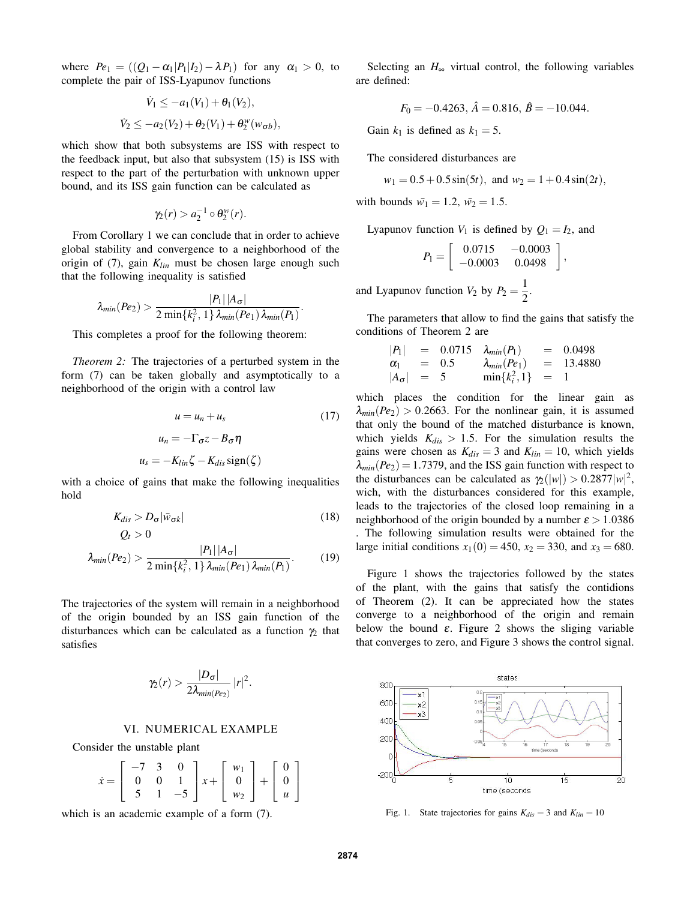where  $Pe_1 = ((Q_1 - \alpha_1)P_1|I_2) - \lambda P_1$  for any  $\alpha_1 > 0$ , to complete the pair of ISS-Lyapunov functions

$$
\dot{V}_1 \le -a_1(V_1) + \theta_1(V_2),
$$
  

$$
\dot{V}_2 \le -a_2(V_2) + \theta_2(V_1) + \theta_2^w(w_{\sigma b}),
$$

which show that both subsystems are ISS with respect to the feedback input, but also that subsystem (15) is ISS with respect to the part of the perturbation with unknown upper bound, and its ISS gain function can be calculated as

$$
\gamma_2(r) > a_2^{-1} \circ \theta_2^w(r).
$$

From Corollary 1 we can conclude that in order to achieve global stability and convergence to a neighborhood of the origin of (7), gain *Klin* must be chosen large enough such that the following inequality is satisfied

$$
\lambda_{min}(Pe_2) > \frac{|P_1||A_{\sigma}|}{2 \min\{k_i^2, 1\} \lambda_{min}(Pe_1) \lambda_{min}(P_1)}.
$$

This completes a proof for the following theorem:

*Theorem 2:* The trajectories of a perturbed system in the form (7) can be taken globally and asymptotically to a neighborhood of the origin with a control law

$$
u = u_n + u_s \tag{17}
$$

$$
u_n = -\Gamma_{\sigma} z - B_{\sigma} \eta
$$

$$
u_s = -K_{lin} \zeta - K_{dis} sign(\zeta)
$$

with a choice of gains that make the following inequalities hold

$$
K_{dis} > D_{\sigma} |\bar{w}_{\sigma k}|
$$
  
 
$$
Q_t > 0
$$
 (18)

$$
\lambda_{min}(Pe_2) > \frac{|P_1||A_{\sigma}|}{2 \min\{k_i^2, 1\} \lambda_{min}(Pe_1) \lambda_{min}(P_1)}.
$$
 (19)

The trajectories of the system will remain in a neighborhood of the origin bounded by an ISS gain function of the disturbances which can be calculated as a function  $\gamma_2$  that satisfies

$$
\gamma_2(r) > \frac{|D_{\sigma}|}{2\lambda_{min(Pe_2)}} |r|^2.
$$

# VI. NUMERICAL EXAMPLE

Consider the unstable plant

$$
\dot{x} = \begin{bmatrix} -7 & 3 & 0 \\ 0 & 0 & 1 \\ 5 & 1 & -5 \end{bmatrix} x + \begin{bmatrix} w_1 \\ 0 \\ w_2 \end{bmatrix} + \begin{bmatrix} 0 \\ 0 \\ u \end{bmatrix}
$$

which is an academic example of a form  $(7)$ .

Selecting an  $H_{\infty}$  virtual control, the following variables are defined:

$$
F_0 = -0.4263, \hat{A} = 0.816, \hat{B} = -10.044.
$$

Gain  $k_1$  is defined as  $k_1 = 5$ .

The considered disturbances are

$$
w_1 = 0.5 + 0.5\sin(5t), \text{ and } w_2 = 1 + 0.4\sin(2t),
$$

with bounds  $\bar{w_1} = 1.2, \ \bar{w_2} = 1.5.$ 

Lyapunov function  $V_1$  is defined by  $Q_1 = I_2$ , and

$$
P_1 = \left[ \begin{array}{cc} 0.0715 & -0.0003 \\ -0.0003 & 0.0498 \end{array} \right],
$$

and Lyapunov function  $V_2$  by  $P_2 = \frac{1}{2}$  $\frac{1}{2}$ .

The parameters that allow to find the gains that satisfy the conditions of Theorem 2 are

$$
\begin{array}{rcl}\n|P_1| & = & 0.0715 & \lambda_{min}(P_1) & = & 0.0498 \\
\alpha_1 & = & 0.5 & \lambda_{min}(P_{e_1}) & = & 13.4880 \\
|A_{\sigma}| & = & 5 & \min\{k_i^2, 1\} & = & 1\n\end{array}
$$

which places the condition for the linear gain as  $\lambda_{min}(Pe_2) > 0.2663$ . For the nonlinear gain, it is assumed that only the bound of the matched disturbance is known, which yields  $K_{dis} > 1.5$ . For the simulation results the gains were chosen as  $K_{dis} = 3$  and  $K_{lin} = 10$ , which yields  $\lambda_{min}(Pe_2) = 1.7379$ , and the ISS gain function with respect to the disturbances can be calculated as  $\gamma_2(|w|) > 0.2877|w|^2$ , wich, with the disturbances considered for this example, leads to the trajectories of the closed loop remaining in a neighborhood of the origin bounded by a number  $\varepsilon > 1.0386$ . The following simulation results were obtained for the large initial conditions  $x_1(0) = 450$ ,  $x_2 = 330$ , and  $x_3 = 680$ .

Figure 1 shows the trajectories followed by the states of the plant, with the gains that satisfy the contidions of Theorem (2). It can be appreciated how the states converge to a neighborhood of the origin and remain below the bound  $\varepsilon$ . Figure 2 shows the sliging variable that converges to zero, and Figure 3 shows the control signal.



Fig. 1. State trajectories for gains  $K_{dis} = 3$  and  $K_{lin} = 10$